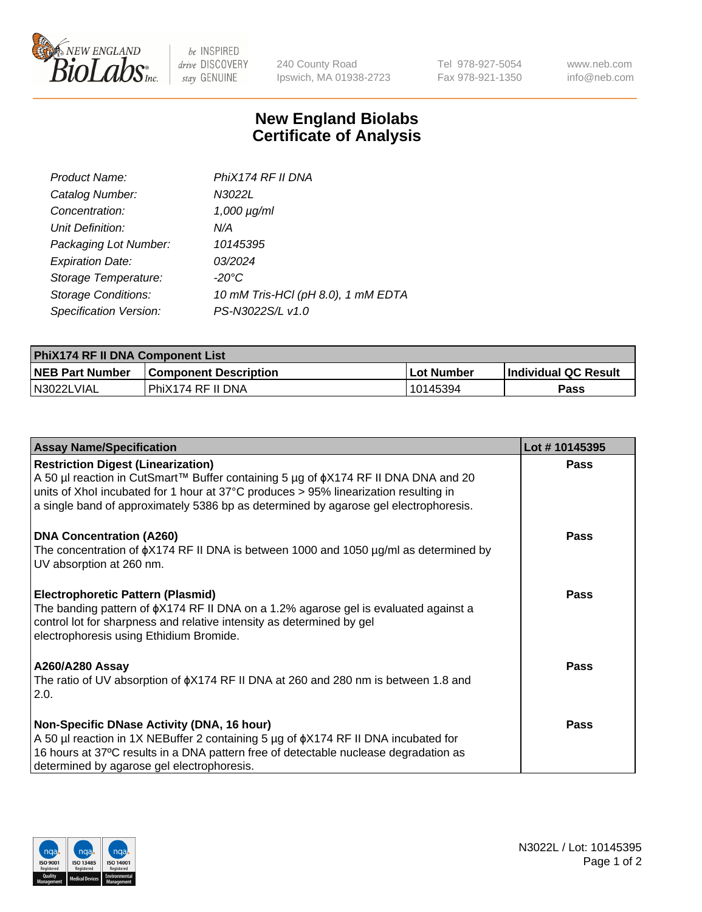

 $be$  INSPIRED drive DISCOVERY stay GENUINE

240 County Road Ipswich, MA 01938-2723 Tel 978-927-5054 Fax 978-921-1350 www.neb.com info@neb.com

## **New England Biolabs Certificate of Analysis**

| Product Name:              | PhiX174 RF II DNA                  |
|----------------------------|------------------------------------|
| Catalog Number:            | N3022L                             |
| Concentration:             | $1,000 \mu g/ml$                   |
| Unit Definition:           | N/A                                |
| Packaging Lot Number:      | 10145395                           |
| <b>Expiration Date:</b>    | 03/2024                            |
| Storage Temperature:       | $-20^{\circ}$ C                    |
| <b>Storage Conditions:</b> | 10 mM Tris-HCl (pH 8.0), 1 mM EDTA |
| Specification Version:     | PS-N3022S/L v1.0                   |

| PhiX174 RF II DNA Component List |                              |              |                             |  |
|----------------------------------|------------------------------|--------------|-----------------------------|--|
| <b>NEB Part Number</b>           | <b>Component Description</b> | l Lot Number | <b>Individual QC Result</b> |  |
| IN3022LVIAL                      | PhiX174 RF II DNA            | 10145394     | Pass                        |  |

| <b>Assay Name/Specification</b>                                                                                                                                                                                                                                                                                       | Lot #10145395 |
|-----------------------------------------------------------------------------------------------------------------------------------------------------------------------------------------------------------------------------------------------------------------------------------------------------------------------|---------------|
| <b>Restriction Digest (Linearization)</b><br>A 50 µl reaction in CutSmart™ Buffer containing 5 µg of $\phi$ X174 RF II DNA DNA and 20<br>units of Xhol incubated for 1 hour at 37°C produces > 95% linearization resulting in<br>a single band of approximately 5386 bp as determined by agarose gel electrophoresis. | <b>Pass</b>   |
| <b>DNA Concentration (A260)</b><br>The concentration of $\phi$ X174 RF II DNA is between 1000 and 1050 µg/ml as determined by<br>UV absorption at 260 nm.                                                                                                                                                             | <b>Pass</b>   |
| <b>Electrophoretic Pattern (Plasmid)</b><br>The banding pattern of $\phi$ X174 RF II DNA on a 1.2% agarose gel is evaluated against a<br>control lot for sharpness and relative intensity as determined by gel<br>electrophoresis using Ethidium Bromide.                                                             | Pass          |
| <b>A260/A280 Assay</b><br>The ratio of UV absorption of $\phi$ X174 RF II DNA at 260 and 280 nm is between 1.8 and<br>2.0.                                                                                                                                                                                            | <b>Pass</b>   |
| Non-Specific DNase Activity (DNA, 16 hour)<br>A 50 µl reaction in 1X NEBuffer 2 containing 5 µg of $\phi$ X174 RF II DNA incubated for<br>16 hours at 37°C results in a DNA pattern free of detectable nuclease degradation as<br>determined by agarose gel electrophoresis.                                          | Pass          |